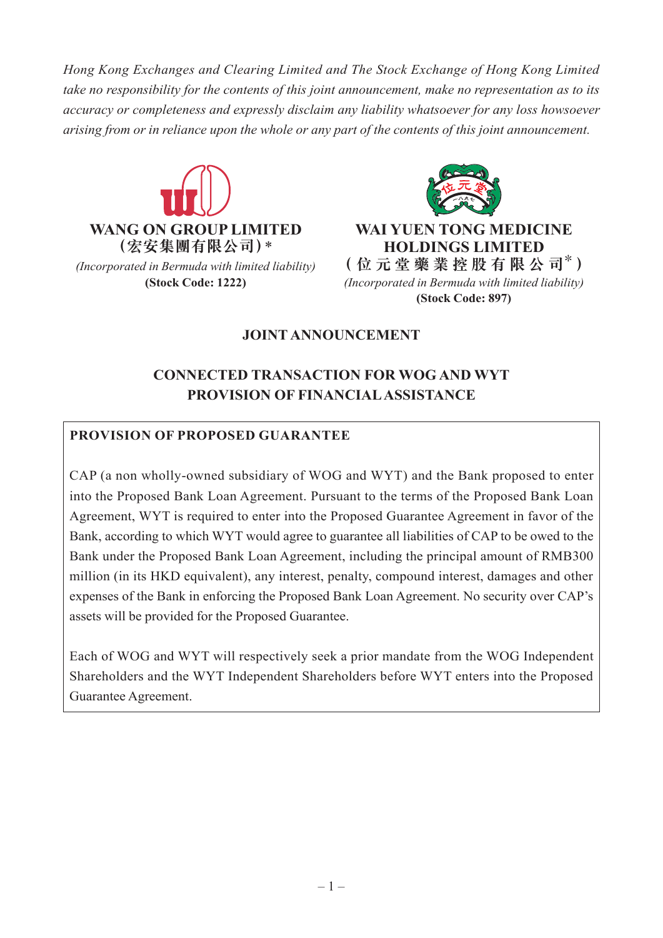*Hong Kong Exchanges and Clearing Limited and The Stock Exchange of Hong Kong Limited take no responsibility for the contents of this joint announcement, make no representation as to its accuracy or completeness and expressly disclaim any liability whatsoever for any loss howsoever arising from or in reliance upon the whole or any part of the contents of this joint announcement.*





**(Stock Code: 1222)** *(Incorporated in Bermuda with limited liability)*  **(Stock Code: 897)**

## **JOINT ANNOUNCEMENT**

# **CONNECTED TRANSACTION FOR WOG AND WYT PROVISION OF FINANCIAL ASSISTANCE**

### **PROVISION OF PROPOSED GUARANTEE**

CAP (a non wholly-owned subsidiary of WOG and WYT) and the Bank proposed to enter into the Proposed Bank Loan Agreement. Pursuant to the terms of the Proposed Bank Loan Agreement, WYT is required to enter into the Proposed Guarantee Agreement in favor of the Bank, according to which WYT would agree to guarantee all liabilities of CAP to be owed to the Bank under the Proposed Bank Loan Agreement, including the principal amount of RMB300 million (in its HKD equivalent), any interest, penalty, compound interest, damages and other expenses of the Bank in enforcing the Proposed Bank Loan Agreement. No security over CAP's assets will be provided for the Proposed Guarantee.

Each of WOG and WYT will respectively seek a prior mandate from the WOG Independent Shareholders and the WYT Independent Shareholders before WYT enters into the Proposed Guarantee Agreement.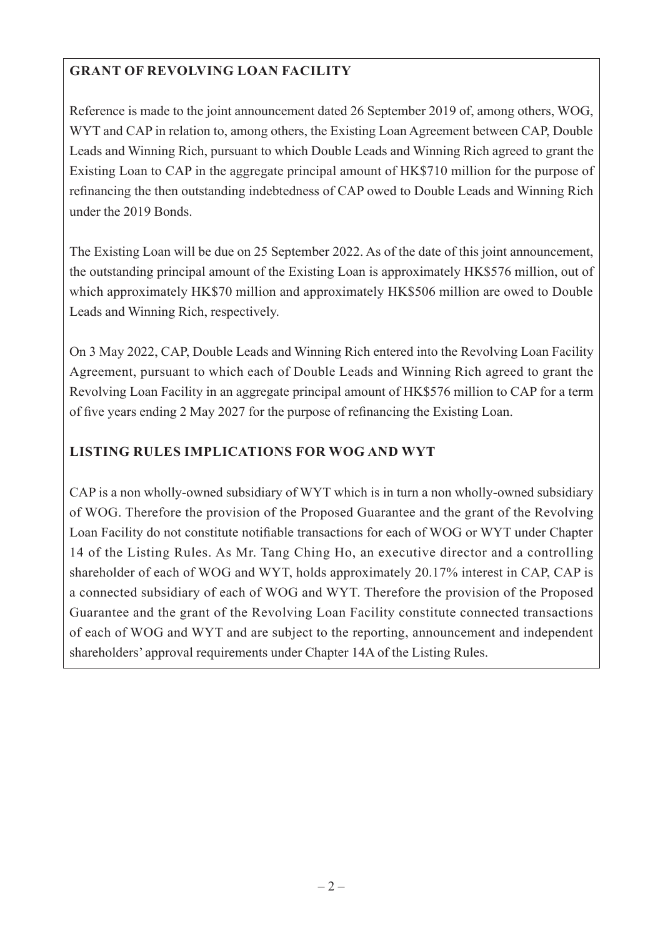# **GRANT OF REVOLVING LOAN FACILITY**

Reference is made to the joint announcement dated 26 September 2019 of, among others, WOG, WYT and CAP in relation to, among others, the Existing Loan Agreement between CAP, Double Leads and Winning Rich, pursuant to which Double Leads and Winning Rich agreed to grant the Existing Loan to CAP in the aggregate principal amount of HK\$710 million for the purpose of refinancing the then outstanding indebtedness of CAP owed to Double Leads and Winning Rich under the 2019 Bonds.

The Existing Loan will be due on 25 September 2022. As of the date of this joint announcement, the outstanding principal amount of the Existing Loan is approximately HK\$576 million, out of which approximately HK\$70 million and approximately HK\$506 million are owed to Double Leads and Winning Rich, respectively.

On 3 May 2022, CAP, Double Leads and Winning Rich entered into the Revolving Loan Facility Agreement, pursuant to which each of Double Leads and Winning Rich agreed to grant the Revolving Loan Facility in an aggregate principal amount of HK\$576 million to CAP for a term of five years ending 2 May 2027 for the purpose of refinancing the Existing Loan.

## **LISTING RULES IMPLICATIONS FOR WOG AND WYT**

CAP is a non wholly-owned subsidiary of WYT which is in turn a non wholly-owned subsidiary of WOG. Therefore the provision of the Proposed Guarantee and the grant of the Revolving Loan Facility do not constitute notifiable transactions for each of WOG or WYT under Chapter 14 of the Listing Rules. As Mr. Tang Ching Ho, an executive director and a controlling shareholder of each of WOG and WYT, holds approximately 20.17% interest in CAP, CAP is a connected subsidiary of each of WOG and WYT. Therefore the provision of the Proposed Guarantee and the grant of the Revolving Loan Facility constitute connected transactions of each of WOG and WYT and are subject to the reporting, announcement and independent shareholders' approval requirements under Chapter 14A of the Listing Rules.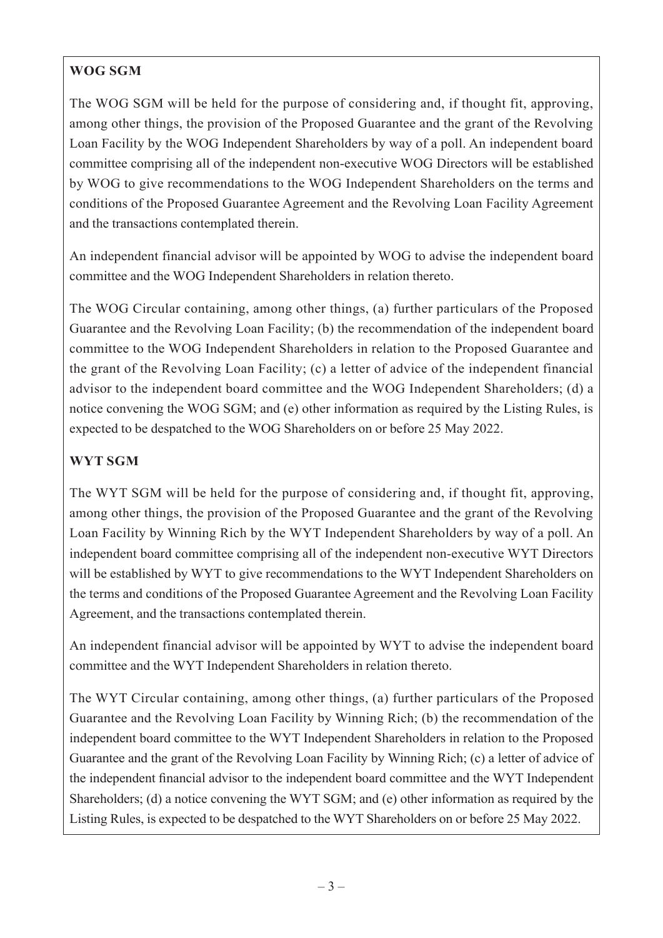# **WOG SGM**

The WOG SGM will be held for the purpose of considering and, if thought fit, approving, among other things, the provision of the Proposed Guarantee and the grant of the Revolving Loan Facility by the WOG Independent Shareholders by way of a poll. An independent board committee comprising all of the independent non-executive WOG Directors will be established by WOG to give recommendations to the WOG Independent Shareholders on the terms and conditions of the Proposed Guarantee Agreement and the Revolving Loan Facility Agreement and the transactions contemplated therein.

An independent financial advisor will be appointed by WOG to advise the independent board committee and the WOG Independent Shareholders in relation thereto.

The WOG Circular containing, among other things, (a) further particulars of the Proposed Guarantee and the Revolving Loan Facility; (b) the recommendation of the independent board committee to the WOG Independent Shareholders in relation to the Proposed Guarantee and the grant of the Revolving Loan Facility; (c) a letter of advice of the independent financial advisor to the independent board committee and the WOG Independent Shareholders; (d) a notice convening the WOG SGM; and (e) other information as required by the Listing Rules, is expected to be despatched to the WOG Shareholders on or before 25 May 2022.

# **WYT SGM**

The WYT SGM will be held for the purpose of considering and, if thought fit, approving, among other things, the provision of the Proposed Guarantee and the grant of the Revolving Loan Facility by Winning Rich by the WYT Independent Shareholders by way of a poll. An independent board committee comprising all of the independent non-executive WYT Directors will be established by WYT to give recommendations to the WYT Independent Shareholders on the terms and conditions of the Proposed Guarantee Agreement and the Revolving Loan Facility Agreement, and the transactions contemplated therein.

An independent financial advisor will be appointed by WYT to advise the independent board committee and the WYT Independent Shareholders in relation thereto.

The WYT Circular containing, among other things, (a) further particulars of the Proposed Guarantee and the Revolving Loan Facility by Winning Rich; (b) the recommendation of the independent board committee to the WYT Independent Shareholders in relation to the Proposed Guarantee and the grant of the Revolving Loan Facility by Winning Rich; (c) a letter of advice of the independent financial advisor to the independent board committee and the WYT Independent Shareholders; (d) a notice convening the WYT SGM; and (e) other information as required by the Listing Rules, is expected to be despatched to the WYT Shareholders on or before 25 May 2022.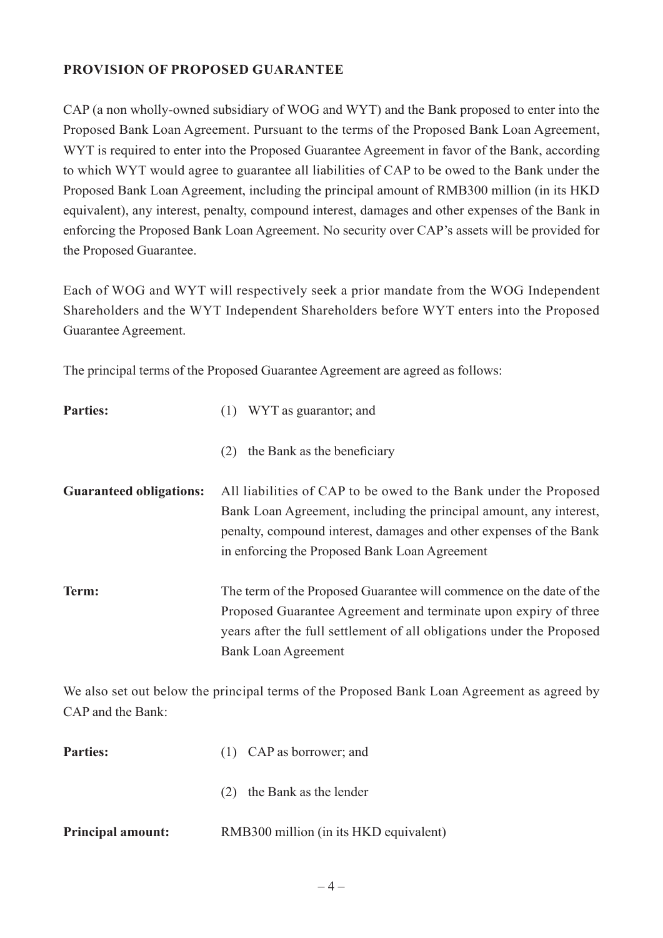#### **PROVISION OF PROPOSED GUARANTEE**

CAP (a non wholly-owned subsidiary of WOG and WYT) and the Bank proposed to enter into the Proposed Bank Loan Agreement. Pursuant to the terms of the Proposed Bank Loan Agreement, WYT is required to enter into the Proposed Guarantee Agreement in favor of the Bank, according to which WYT would agree to guarantee all liabilities of CAP to be owed to the Bank under the Proposed Bank Loan Agreement, including the principal amount of RMB300 million (in its HKD equivalent), any interest, penalty, compound interest, damages and other expenses of the Bank in enforcing the Proposed Bank Loan Agreement. No security over CAP's assets will be provided for the Proposed Guarantee.

Each of WOG and WYT will respectively seek a prior mandate from the WOG Independent Shareholders and the WYT Independent Shareholders before WYT enters into the Proposed Guarantee Agreement.

The principal terms of the Proposed Guarantee Agreement are agreed as follows:

| <b>Parties:</b>                | WYT as guarantor; and                                                                                                                                                                                                                                         |
|--------------------------------|---------------------------------------------------------------------------------------------------------------------------------------------------------------------------------------------------------------------------------------------------------------|
|                                | the Bank as the beneficiary<br>(2)                                                                                                                                                                                                                            |
| <b>Guaranteed obligations:</b> | All liabilities of CAP to be owed to the Bank under the Proposed<br>Bank Loan Agreement, including the principal amount, any interest,<br>penalty, compound interest, damages and other expenses of the Bank<br>in enforcing the Proposed Bank Loan Agreement |
| Term:                          | The term of the Proposed Guarantee will commence on the date of the<br>Proposed Guarantee Agreement and terminate upon expiry of three<br>years after the full settlement of all obligations under the Proposed<br><b>Bank Loan Agreement</b>                 |

We also set out below the principal terms of the Proposed Bank Loan Agreement as agreed by CAP and the Bank:

| <b>Parties:</b>          | $(1)$ CAP as borrower; and             |
|--------------------------|----------------------------------------|
|                          | the Bank as the lender<br>(2)          |
| <b>Principal amount:</b> | RMB300 million (in its HKD equivalent) |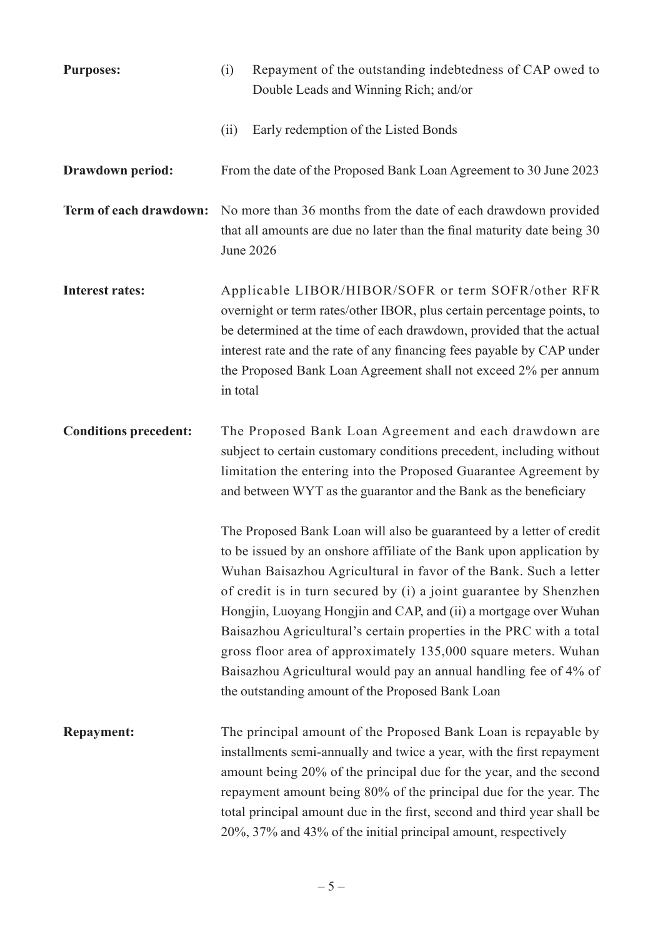| <b>Purposes:</b>             | (i)      | Repayment of the outstanding indebtedness of CAP owed to<br>Double Leads and Winning Rich; and/or                                                                                                                                                                                                                                                                                                                                                                                                                                                                                                                          |
|------------------------------|----------|----------------------------------------------------------------------------------------------------------------------------------------------------------------------------------------------------------------------------------------------------------------------------------------------------------------------------------------------------------------------------------------------------------------------------------------------------------------------------------------------------------------------------------------------------------------------------------------------------------------------------|
|                              | (ii)     | Early redemption of the Listed Bonds                                                                                                                                                                                                                                                                                                                                                                                                                                                                                                                                                                                       |
| Drawdown period:             |          | From the date of the Proposed Bank Loan Agreement to 30 June 2023                                                                                                                                                                                                                                                                                                                                                                                                                                                                                                                                                          |
| Term of each drawdown:       |          | No more than 36 months from the date of each drawdown provided<br>that all amounts are due no later than the final maturity date being 30<br>June 2026                                                                                                                                                                                                                                                                                                                                                                                                                                                                     |
| <b>Interest rates:</b>       | in total | Applicable LIBOR/HIBOR/SOFR or term SOFR/other RFR<br>overnight or term rates/other IBOR, plus certain percentage points, to<br>be determined at the time of each drawdown, provided that the actual<br>interest rate and the rate of any financing fees payable by CAP under<br>the Proposed Bank Loan Agreement shall not exceed 2% per annum                                                                                                                                                                                                                                                                            |
| <b>Conditions precedent:</b> |          | The Proposed Bank Loan Agreement and each drawdown are<br>subject to certain customary conditions precedent, including without<br>limitation the entering into the Proposed Guarantee Agreement by<br>and between WYT as the guarantor and the Bank as the beneficiary                                                                                                                                                                                                                                                                                                                                                     |
|                              |          | The Proposed Bank Loan will also be guaranteed by a letter of credit<br>to be issued by an onshore affiliate of the Bank upon application by<br>Wuhan Baisazhou Agricultural in favor of the Bank. Such a letter<br>of credit is in turn secured by (i) a joint guarantee by Shenzhen<br>Hongjin, Luoyang Hongjin and CAP, and (ii) a mortgage over Wuhan<br>Baisazhou Agricultural's certain properties in the PRC with a total<br>gross floor area of approximately 135,000 square meters. Wuhan<br>Baisazhou Agricultural would pay an annual handling fee of 4% of<br>the outstanding amount of the Proposed Bank Loan |
| <b>Repayment:</b>            |          | The principal amount of the Proposed Bank Loan is repayable by<br>installments semi-annually and twice a year, with the first repayment<br>amount being 20% of the principal due for the year, and the second<br>repayment amount being 80% of the principal due for the year. The<br>total principal amount due in the first, second and third year shall be<br>20%, 37% and 43% of the initial principal amount, respectively                                                                                                                                                                                            |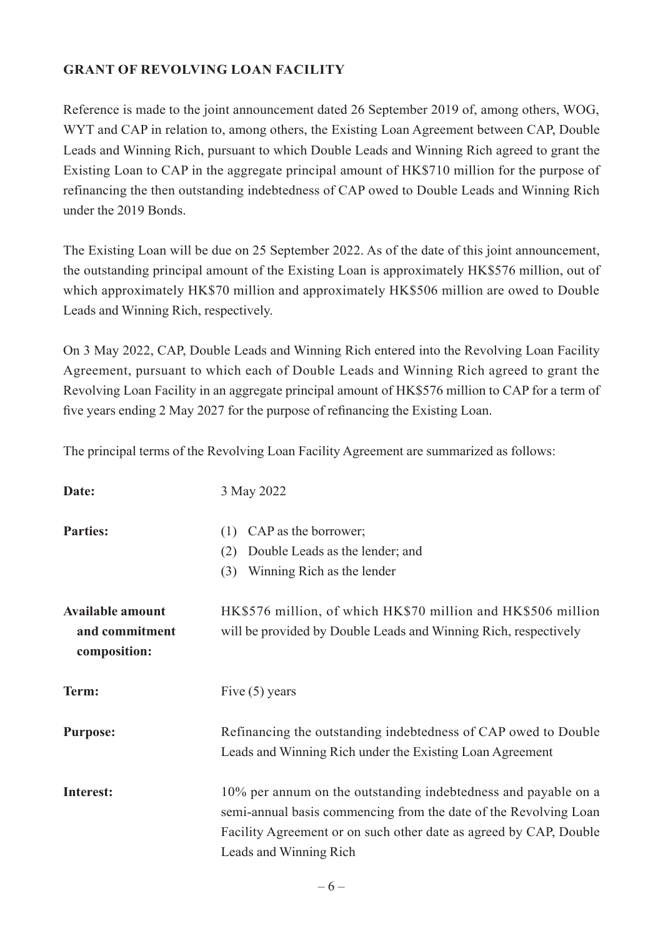### **GRANT OF REVOLVING LOAN FACILITY**

Reference is made to the joint announcement dated 26 September 2019 of, among others, WOG, WYT and CAP in relation to, among others, the Existing Loan Agreement between CAP, Double Leads and Winning Rich, pursuant to which Double Leads and Winning Rich agreed to grant the Existing Loan to CAP in the aggregate principal amount of HK\$710 million for the purpose of refinancing the then outstanding indebtedness of CAP owed to Double Leads and Winning Rich under the 2019 Bonds.

The Existing Loan will be due on 25 September 2022. As of the date of this joint announcement, the outstanding principal amount of the Existing Loan is approximately HK\$576 million, out of which approximately HK\$70 million and approximately HK\$506 million are owed to Double Leads and Winning Rich, respectively.

On 3 May 2022, CAP, Double Leads and Winning Rich entered into the Revolving Loan Facility Agreement, pursuant to which each of Double Leads and Winning Rich agreed to grant the Revolving Loan Facility in an aggregate principal amount of HK\$576 million to CAP for a term of five years ending 2 May 2027 for the purpose of refinancing the Existing Loan.

The principal terms of the Revolving Loan Facility Agreement are summarized as follows:

| Date:                                                     | 3 May 2022                                                                                                                                                                                                                        |
|-----------------------------------------------------------|-----------------------------------------------------------------------------------------------------------------------------------------------------------------------------------------------------------------------------------|
| <b>Parties:</b>                                           | CAP as the borrower;<br>(1)                                                                                                                                                                                                       |
|                                                           | Double Leads as the lender; and<br>(2)                                                                                                                                                                                            |
|                                                           | Winning Rich as the lender<br>(3)                                                                                                                                                                                                 |
| <b>Available amount</b><br>and commitment<br>composition: | HK\$576 million, of which HK\$70 million and HK\$506 million<br>will be provided by Double Leads and Winning Rich, respectively                                                                                                   |
| Term:                                                     | Five $(5)$ years                                                                                                                                                                                                                  |
| <b>Purpose:</b>                                           | Refinancing the outstanding indebtedness of CAP owed to Double<br>Leads and Winning Rich under the Existing Loan Agreement                                                                                                        |
| <b>Interest:</b>                                          | 10% per annum on the outstanding indebtedness and payable on a<br>semi-annual basis commencing from the date of the Revolving Loan<br>Facility Agreement or on such other date as agreed by CAP, Double<br>Leads and Winning Rich |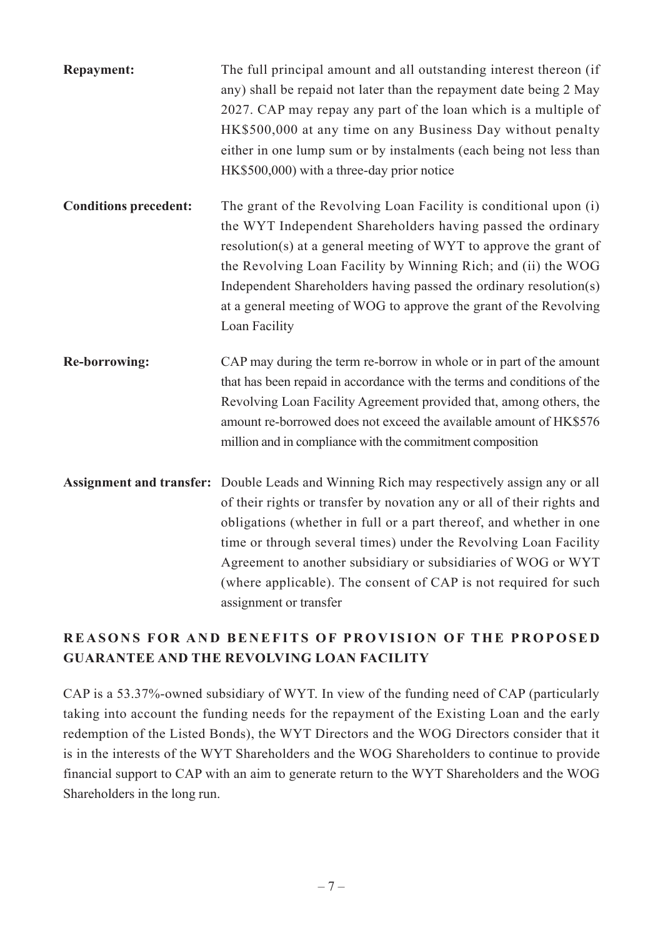| <b>Repayment:</b>            | The full principal amount and all outstanding interest thereon (if<br>any) shall be repaid not later than the repayment date being 2 May<br>2027. CAP may repay any part of the loan which is a multiple of<br>HK\$500,000 at any time on any Business Day without penalty<br>either in one lump sum or by instalments (each being not less than<br>HK\$500,000) with a three-day prior notice                                                                              |
|------------------------------|-----------------------------------------------------------------------------------------------------------------------------------------------------------------------------------------------------------------------------------------------------------------------------------------------------------------------------------------------------------------------------------------------------------------------------------------------------------------------------|
| <b>Conditions precedent:</b> | The grant of the Revolving Loan Facility is conditional upon (i)<br>the WYT Independent Shareholders having passed the ordinary<br>resolution(s) at a general meeting of WYT to approve the grant of<br>the Revolving Loan Facility by Winning Rich; and (ii) the WOG<br>Independent Shareholders having passed the ordinary resolution(s)<br>at a general meeting of WOG to approve the grant of the Revolving<br>Loan Facility                                            |
| <b>Re-borrowing:</b>         | CAP may during the term re-borrow in whole or in part of the amount<br>that has been repaid in accordance with the terms and conditions of the<br>Revolving Loan Facility Agreement provided that, among others, the<br>amount re-borrowed does not exceed the available amount of HK\$576<br>million and in compliance with the commitment composition                                                                                                                     |
|                              | Assignment and transfer: Double Leads and Winning Rich may respectively assign any or all<br>of their rights or transfer by novation any or all of their rights and<br>obligations (whether in full or a part thereof, and whether in one<br>time or through several times) under the Revolving Loan Facility<br>Agreement to another subsidiary or subsidiaries of WOG or WYT<br>(where applicable). The consent of CAP is not required for such<br>assignment or transfer |

# **REASONS FOR AND BENEFITS OF PROVISION OF THE PROPOSED GUARANTEE AND THE REVOLVING LOAN FACILITY**

CAP is a 53.37%-owned subsidiary of WYT. In view of the funding need of CAP (particularly taking into account the funding needs for the repayment of the Existing Loan and the early redemption of the Listed Bonds), the WYT Directors and the WOG Directors consider that it is in the interests of the WYT Shareholders and the WOG Shareholders to continue to provide financial support to CAP with an aim to generate return to the WYT Shareholders and the WOG Shareholders in the long run.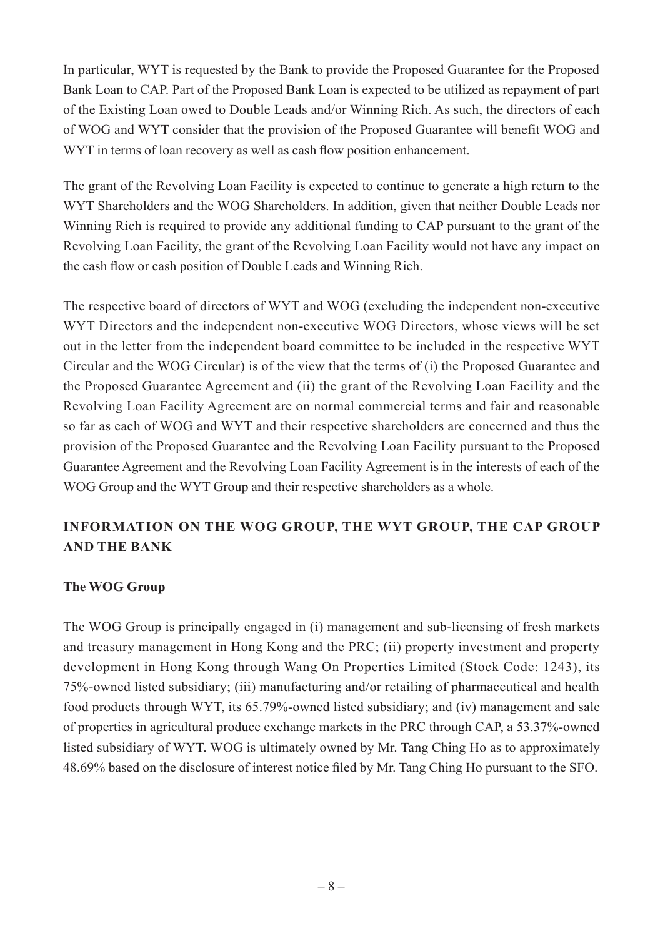In particular, WYT is requested by the Bank to provide the Proposed Guarantee for the Proposed Bank Loan to CAP. Part of the Proposed Bank Loan is expected to be utilized as repayment of part of the Existing Loan owed to Double Leads and/or Winning Rich. As such, the directors of each of WOG and WYT consider that the provision of the Proposed Guarantee will benefit WOG and WYT in terms of loan recovery as well as cash flow position enhancement.

The grant of the Revolving Loan Facility is expected to continue to generate a high return to the WYT Shareholders and the WOG Shareholders. In addition, given that neither Double Leads nor Winning Rich is required to provide any additional funding to CAP pursuant to the grant of the Revolving Loan Facility, the grant of the Revolving Loan Facility would not have any impact on the cash flow or cash position of Double Leads and Winning Rich.

The respective board of directors of WYT and WOG (excluding the independent non-executive WYT Directors and the independent non-executive WOG Directors, whose views will be set out in the letter from the independent board committee to be included in the respective WYT Circular and the WOG Circular) is of the view that the terms of (i) the Proposed Guarantee and the Proposed Guarantee Agreement and (ii) the grant of the Revolving Loan Facility and the Revolving Loan Facility Agreement are on normal commercial terms and fair and reasonable so far as each of WOG and WYT and their respective shareholders are concerned and thus the provision of the Proposed Guarantee and the Revolving Loan Facility pursuant to the Proposed Guarantee Agreement and the Revolving Loan Facility Agreement is in the interests of each of the WOG Group and the WYT Group and their respective shareholders as a whole.

## **INFORMATION ON THE WOG GROUP, THE WYT GROUP, THE CAP GROUP AND THE BANK**

#### **The WOG Group**

The WOG Group is principally engaged in (i) management and sub-licensing of fresh markets and treasury management in Hong Kong and the PRC; (ii) property investment and property development in Hong Kong through Wang On Properties Limited (Stock Code: 1243), its 75%-owned listed subsidiary; (iii) manufacturing and/or retailing of pharmaceutical and health food products through WYT, its 65.79%-owned listed subsidiary; and (iv) management and sale of properties in agricultural produce exchange markets in the PRC through CAP, a 53.37%-owned listed subsidiary of WYT. WOG is ultimately owned by Mr. Tang Ching Ho as to approximately 48.69% based on the disclosure of interest notice filed by Mr. Tang Ching Ho pursuant to the SFO.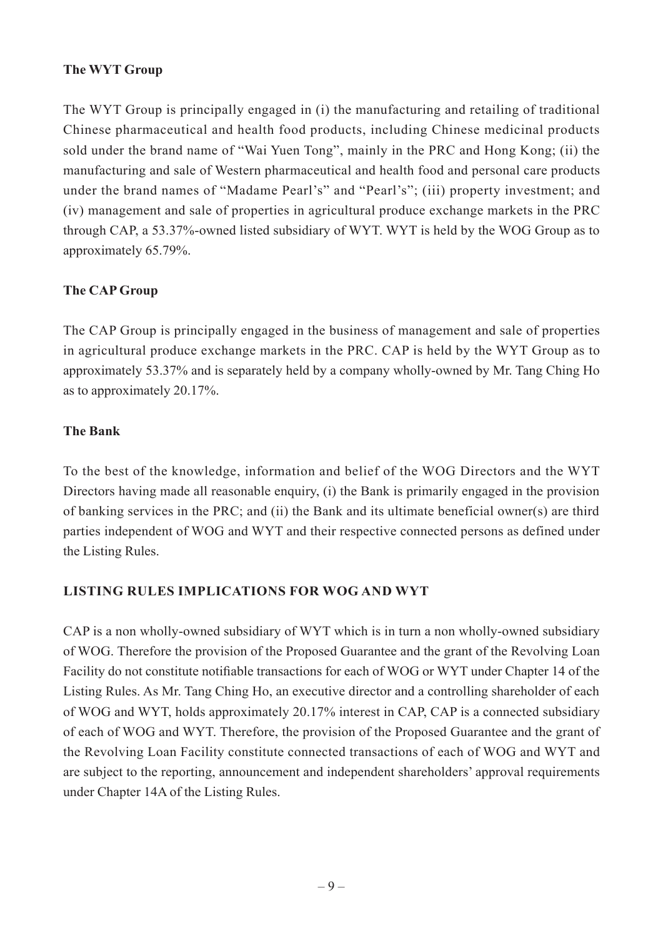### **The WYT Group**

The WYT Group is principally engaged in (i) the manufacturing and retailing of traditional Chinese pharmaceutical and health food products, including Chinese medicinal products sold under the brand name of "Wai Yuen Tong", mainly in the PRC and Hong Kong; (ii) the manufacturing and sale of Western pharmaceutical and health food and personal care products under the brand names of "Madame Pearl's" and "Pearl's"; (iii) property investment; and (iv) management and sale of properties in agricultural produce exchange markets in the PRC through CAP, a 53.37%-owned listed subsidiary of WYT. WYT is held by the WOG Group as to approximately 65.79%.

#### **The CAP Group**

The CAP Group is principally engaged in the business of management and sale of properties in agricultural produce exchange markets in the PRC. CAP is held by the WYT Group as to approximately 53.37% and is separately held by a company wholly-owned by Mr. Tang Ching Ho as to approximately 20.17%.

#### **The Bank**

To the best of the knowledge, information and belief of the WOG Directors and the WYT Directors having made all reasonable enquiry, (i) the Bank is primarily engaged in the provision of banking services in the PRC; and (ii) the Bank and its ultimate beneficial owner(s) are third parties independent of WOG and WYT and their respective connected persons as defined under the Listing Rules.

#### **LISTING RULES IMPLICATIONS FOR WOG AND WYT**

CAP is a non wholly-owned subsidiary of WYT which is in turn a non wholly-owned subsidiary of WOG. Therefore the provision of the Proposed Guarantee and the grant of the Revolving Loan Facility do not constitute notifiable transactions for each of WOG or WYT under Chapter 14 of the Listing Rules. As Mr. Tang Ching Ho, an executive director and a controlling shareholder of each of WOG and WYT, holds approximately 20.17% interest in CAP, CAP is a connected subsidiary of each of WOG and WYT. Therefore, the provision of the Proposed Guarantee and the grant of the Revolving Loan Facility constitute connected transactions of each of WOG and WYT and are subject to the reporting, announcement and independent shareholders' approval requirements under Chapter 14A of the Listing Rules.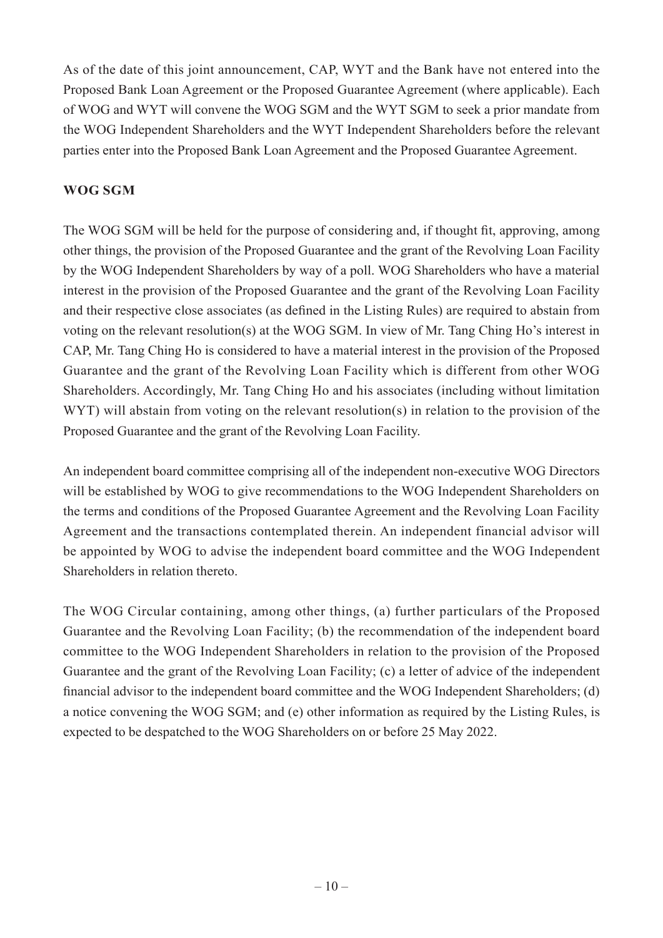As of the date of this joint announcement, CAP, WYT and the Bank have not entered into the Proposed Bank Loan Agreement or the Proposed Guarantee Agreement (where applicable). Each of WOG and WYT will convene the WOG SGM and the WYT SGM to seek a prior mandate from the WOG Independent Shareholders and the WYT Independent Shareholders before the relevant parties enter into the Proposed Bank Loan Agreement and the Proposed Guarantee Agreement.

### **WOG SGM**

The WOG SGM will be held for the purpose of considering and, if thought fit, approving, among other things, the provision of the Proposed Guarantee and the grant of the Revolving Loan Facility by the WOG Independent Shareholders by way of a poll. WOG Shareholders who have a material interest in the provision of the Proposed Guarantee and the grant of the Revolving Loan Facility and their respective close associates (as defined in the Listing Rules) are required to abstain from voting on the relevant resolution(s) at the WOG SGM. In view of Mr. Tang Ching Ho's interest in CAP, Mr. Tang Ching Ho is considered to have a material interest in the provision of the Proposed Guarantee and the grant of the Revolving Loan Facility which is different from other WOG Shareholders. Accordingly, Mr. Tang Ching Ho and his associates (including without limitation WYT) will abstain from voting on the relevant resolution(s) in relation to the provision of the Proposed Guarantee and the grant of the Revolving Loan Facility.

An independent board committee comprising all of the independent non-executive WOG Directors will be established by WOG to give recommendations to the WOG Independent Shareholders on the terms and conditions of the Proposed Guarantee Agreement and the Revolving Loan Facility Agreement and the transactions contemplated therein. An independent financial advisor will be appointed by WOG to advise the independent board committee and the WOG Independent Shareholders in relation thereto.

The WOG Circular containing, among other things, (a) further particulars of the Proposed Guarantee and the Revolving Loan Facility; (b) the recommendation of the independent board committee to the WOG Independent Shareholders in relation to the provision of the Proposed Guarantee and the grant of the Revolving Loan Facility; (c) a letter of advice of the independent financial advisor to the independent board committee and the WOG Independent Shareholders; (d) a notice convening the WOG SGM; and (e) other information as required by the Listing Rules, is expected to be despatched to the WOG Shareholders on or before 25 May 2022.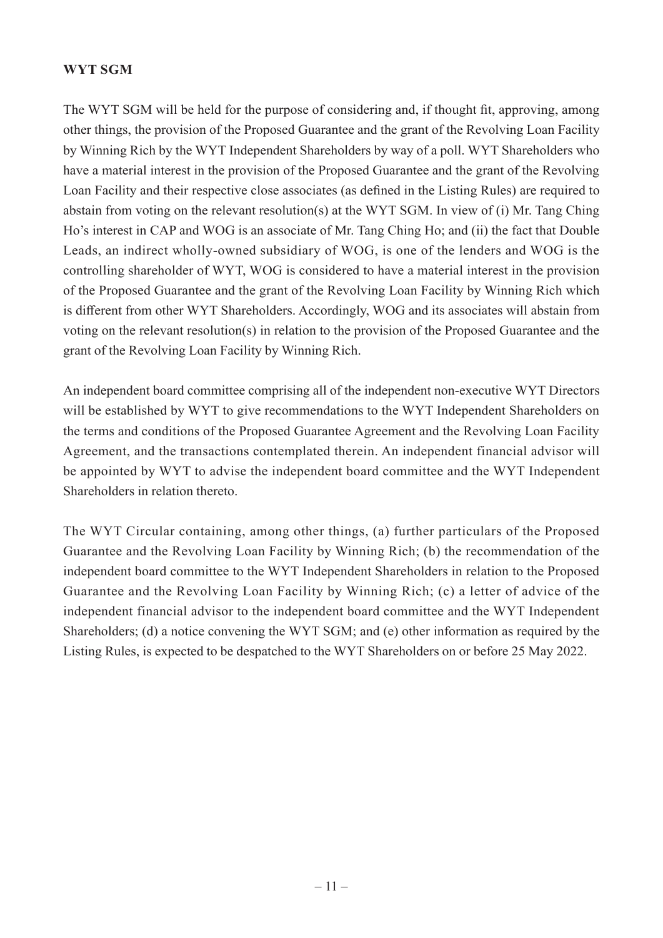#### **WYT SGM**

The WYT SGM will be held for the purpose of considering and, if thought fit, approving, among other things, the provision of the Proposed Guarantee and the grant of the Revolving Loan Facility by Winning Rich by the WYT Independent Shareholders by way of a poll. WYT Shareholders who have a material interest in the provision of the Proposed Guarantee and the grant of the Revolving Loan Facility and their respective close associates (as defined in the Listing Rules) are required to abstain from voting on the relevant resolution(s) at the WYT SGM. In view of (i) Mr. Tang Ching Ho's interest in CAP and WOG is an associate of Mr. Tang Ching Ho; and (ii) the fact that Double Leads, an indirect wholly-owned subsidiary of WOG, is one of the lenders and WOG is the controlling shareholder of WYT, WOG is considered to have a material interest in the provision of the Proposed Guarantee and the grant of the Revolving Loan Facility by Winning Rich which is different from other WYT Shareholders. Accordingly, WOG and its associates will abstain from voting on the relevant resolution(s) in relation to the provision of the Proposed Guarantee and the grant of the Revolving Loan Facility by Winning Rich.

An independent board committee comprising all of the independent non-executive WYT Directors will be established by WYT to give recommendations to the WYT Independent Shareholders on the terms and conditions of the Proposed Guarantee Agreement and the Revolving Loan Facility Agreement, and the transactions contemplated therein. An independent financial advisor will be appointed by WYT to advise the independent board committee and the WYT Independent Shareholders in relation thereto.

The WYT Circular containing, among other things, (a) further particulars of the Proposed Guarantee and the Revolving Loan Facility by Winning Rich; (b) the recommendation of the independent board committee to the WYT Independent Shareholders in relation to the Proposed Guarantee and the Revolving Loan Facility by Winning Rich; (c) a letter of advice of the independent financial advisor to the independent board committee and the WYT Independent Shareholders; (d) a notice convening the WYT SGM; and (e) other information as required by the Listing Rules, is expected to be despatched to the WYT Shareholders on or before 25 May 2022.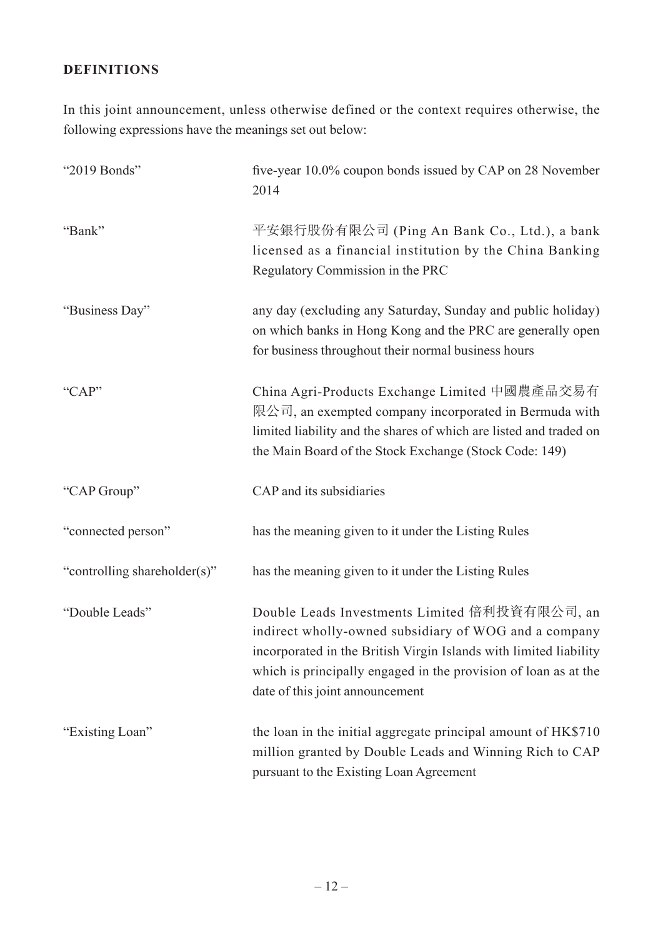### **DEFINITIONS**

In this joint announcement, unless otherwise defined or the context requires otherwise, the following expressions have the meanings set out below:

| "2019 Bonds"                 | five-year 10.0% coupon bonds issued by CAP on 28 November<br>2014                                                                                                                                                                                                                 |
|------------------------------|-----------------------------------------------------------------------------------------------------------------------------------------------------------------------------------------------------------------------------------------------------------------------------------|
| "Bank"                       | 平安銀行股份有限公司 (Ping An Bank Co., Ltd.), a bank<br>licensed as a financial institution by the China Banking<br>Regulatory Commission in the PRC                                                                                                                                       |
| "Business Day"               | any day (excluding any Saturday, Sunday and public holiday)<br>on which banks in Hong Kong and the PRC are generally open<br>for business throughout their normal business hours                                                                                                  |
| "CAP"                        | China Agri-Products Exchange Limited 中國農產品交易有<br>限公司, an exempted company incorporated in Bermuda with<br>limited liability and the shares of which are listed and traded on<br>the Main Board of the Stock Exchange (Stock Code: 149)                                            |
| "CAP Group"                  | CAP and its subsidiaries                                                                                                                                                                                                                                                          |
| "connected person"           | has the meaning given to it under the Listing Rules                                                                                                                                                                                                                               |
| "controlling shareholder(s)" | has the meaning given to it under the Listing Rules                                                                                                                                                                                                                               |
| "Double Leads"               | Double Leads Investments Limited 倍利投資有限公司, an<br>indirect wholly-owned subsidiary of WOG and a company<br>incorporated in the British Virgin Islands with limited liability<br>which is principally engaged in the provision of loan as at the<br>date of this joint announcement |
| "Existing Loan"              | the loan in the initial aggregate principal amount of HK\$710<br>million granted by Double Leads and Winning Rich to CAP<br>pursuant to the Existing Loan Agreement                                                                                                               |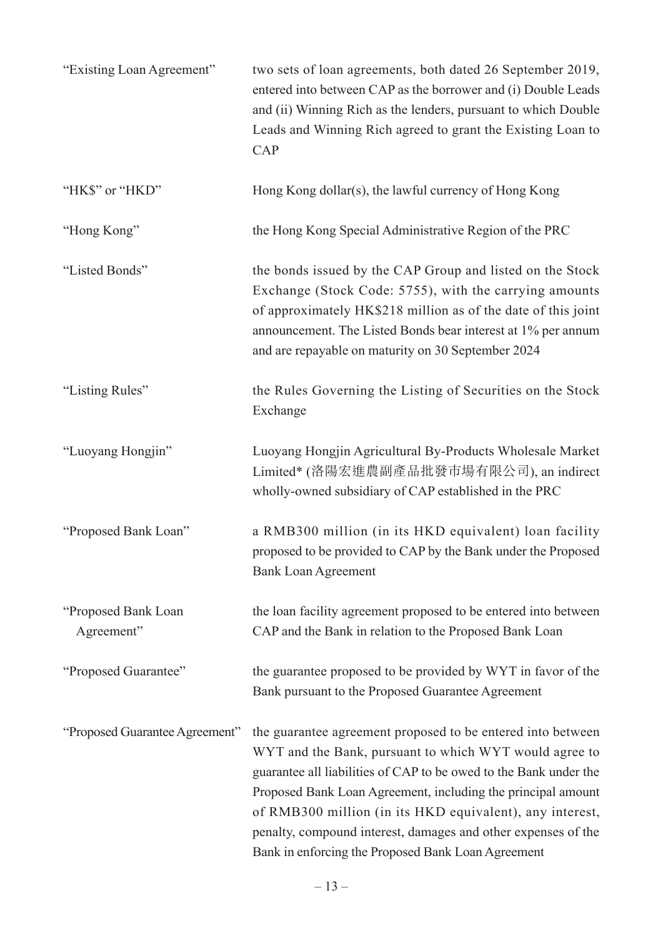| "Existing Loan Agreement"         | two sets of loan agreements, both dated 26 September 2019,<br>entered into between CAP as the borrower and (i) Double Leads<br>and (ii) Winning Rich as the lenders, pursuant to which Double<br>Leads and Winning Rich agreed to grant the Existing Loan to<br>CAP                                                                                                                                                                           |
|-----------------------------------|-----------------------------------------------------------------------------------------------------------------------------------------------------------------------------------------------------------------------------------------------------------------------------------------------------------------------------------------------------------------------------------------------------------------------------------------------|
| "HK\$" or "HKD"                   | Hong Kong dollar(s), the lawful currency of Hong Kong                                                                                                                                                                                                                                                                                                                                                                                         |
| "Hong Kong"                       | the Hong Kong Special Administrative Region of the PRC                                                                                                                                                                                                                                                                                                                                                                                        |
| "Listed Bonds"                    | the bonds issued by the CAP Group and listed on the Stock<br>Exchange (Stock Code: 5755), with the carrying amounts<br>of approximately HK\$218 million as of the date of this joint<br>announcement. The Listed Bonds bear interest at 1% per annum<br>and are repayable on maturity on 30 September 2024                                                                                                                                    |
| "Listing Rules"                   | the Rules Governing the Listing of Securities on the Stock<br>Exchange                                                                                                                                                                                                                                                                                                                                                                        |
| "Luoyang Hongjin"                 | Luoyang Hongjin Agricultural By-Products Wholesale Market<br>Limited* (洛陽宏進農副產品批發市場有限公司), an indirect<br>wholly-owned subsidiary of CAP established in the PRC                                                                                                                                                                                                                                                                                |
| "Proposed Bank Loan"              | a RMB300 million (in its HKD equivalent) loan facility<br>proposed to be provided to CAP by the Bank under the Proposed<br><b>Bank Loan Agreement</b>                                                                                                                                                                                                                                                                                         |
| "Proposed Bank Loan<br>Agreement" | the loan facility agreement proposed to be entered into between<br>CAP and the Bank in relation to the Proposed Bank Loan                                                                                                                                                                                                                                                                                                                     |
| "Proposed Guarantee"              | the guarantee proposed to be provided by WYT in favor of the<br>Bank pursuant to the Proposed Guarantee Agreement                                                                                                                                                                                                                                                                                                                             |
| "Proposed Guarantee Agreement"    | the guarantee agreement proposed to be entered into between<br>WYT and the Bank, pursuant to which WYT would agree to<br>guarantee all liabilities of CAP to be owed to the Bank under the<br>Proposed Bank Loan Agreement, including the principal amount<br>of RMB300 million (in its HKD equivalent), any interest,<br>penalty, compound interest, damages and other expenses of the<br>Bank in enforcing the Proposed Bank Loan Agreement |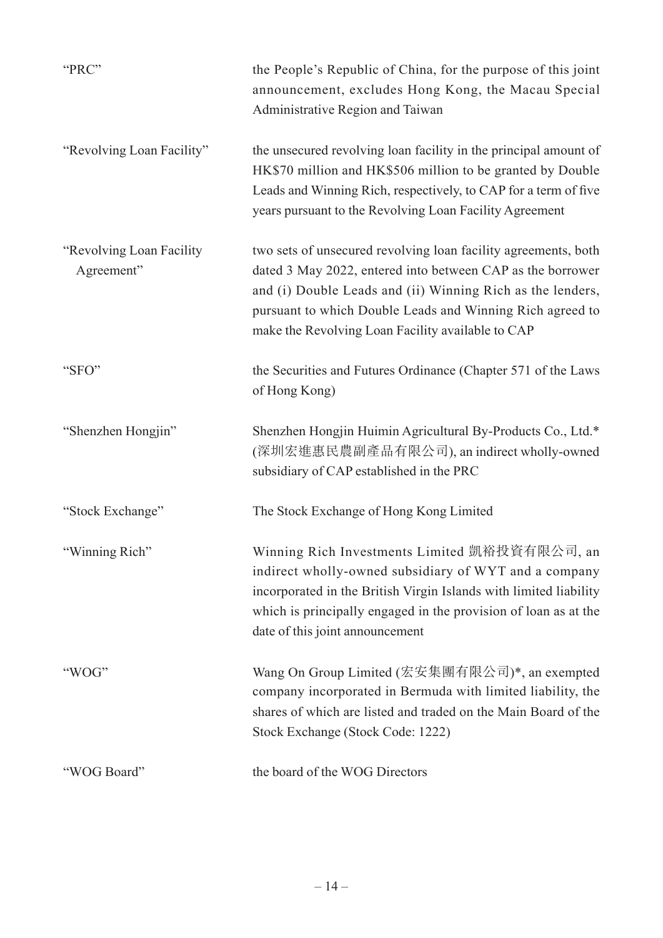| "PRC"                                   | the People's Republic of China, for the purpose of this joint<br>announcement, excludes Hong Kong, the Macau Special<br>Administrative Region and Taiwan                                                                                                                                                     |
|-----------------------------------------|--------------------------------------------------------------------------------------------------------------------------------------------------------------------------------------------------------------------------------------------------------------------------------------------------------------|
| "Revolving Loan Facility"               | the unsecured revolving loan facility in the principal amount of<br>HK\$70 million and HK\$506 million to be granted by Double<br>Leads and Winning Rich, respectively, to CAP for a term of five<br>years pursuant to the Revolving Loan Facility Agreement                                                 |
| "Revolving Loan Facility"<br>Agreement" | two sets of unsecured revolving loan facility agreements, both<br>dated 3 May 2022, entered into between CAP as the borrower<br>and (i) Double Leads and (ii) Winning Rich as the lenders,<br>pursuant to which Double Leads and Winning Rich agreed to<br>make the Revolving Loan Facility available to CAP |
| "SFO"                                   | the Securities and Futures Ordinance (Chapter 571 of the Laws<br>of Hong Kong)                                                                                                                                                                                                                               |
| "Shenzhen Hongjin"                      | Shenzhen Hongjin Huimin Agricultural By-Products Co., Ltd.*<br>(深圳宏進惠民農副產品有限公司), an indirect wholly-owned<br>subsidiary of CAP established in the PRC                                                                                                                                                        |
| "Stock Exchange"                        | The Stock Exchange of Hong Kong Limited                                                                                                                                                                                                                                                                      |
| "Winning Rich"                          | Winning Rich Investments Limited 凱裕投資有限公司, an<br>indirect wholly-owned subsidiary of WYT and a company<br>incorporated in the British Virgin Islands with limited liability<br>which is principally engaged in the provision of loan as at the<br>date of this joint announcement                            |
| "WOG"                                   | Wang On Group Limited (宏安集團有限公司)*, an exempted<br>company incorporated in Bermuda with limited liability, the<br>shares of which are listed and traded on the Main Board of the<br>Stock Exchange (Stock Code: 1222)                                                                                         |
| "WOG Board"                             | the board of the WOG Directors                                                                                                                                                                                                                                                                               |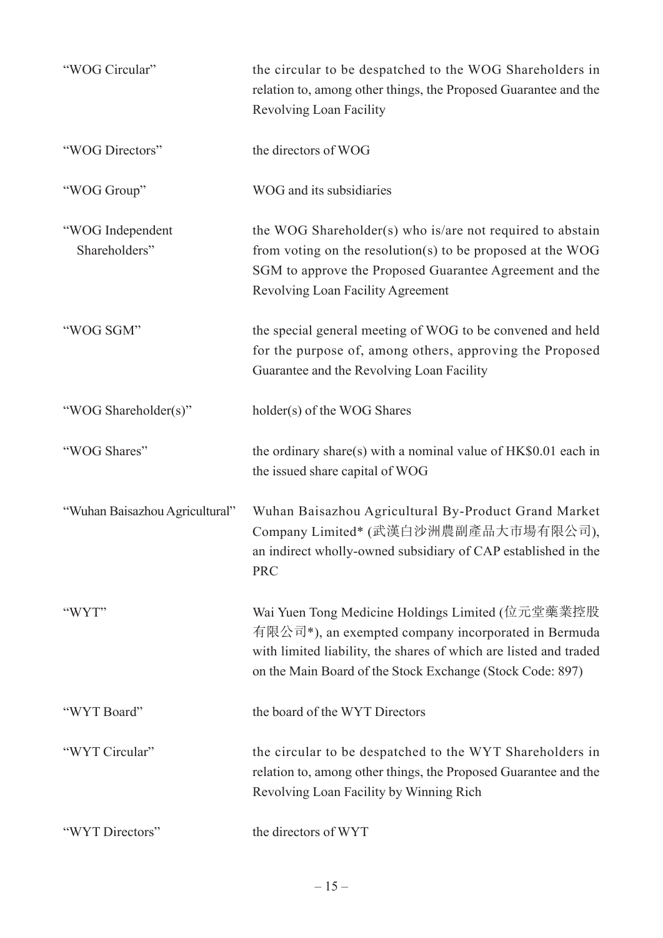| "WOG Circular"                    | the circular to be despatched to the WOG Shareholders in<br>relation to, among other things, the Proposed Guarantee and the<br>Revolving Loan Facility                                                                                    |
|-----------------------------------|-------------------------------------------------------------------------------------------------------------------------------------------------------------------------------------------------------------------------------------------|
| "WOG Directors"                   | the directors of WOG                                                                                                                                                                                                                      |
| "WOG Group"                       | WOG and its subsidiaries                                                                                                                                                                                                                  |
| "WOG Independent<br>Shareholders" | the WOG Shareholder(s) who is/are not required to abstain<br>from voting on the resolution(s) to be proposed at the WOG<br>SGM to approve the Proposed Guarantee Agreement and the<br>Revolving Loan Facility Agreement                   |
| "WOG SGM"                         | the special general meeting of WOG to be convened and held<br>for the purpose of, among others, approving the Proposed<br>Guarantee and the Revolving Loan Facility                                                                       |
| "WOG Shareholder(s)"              | holder(s) of the WOG Shares                                                                                                                                                                                                               |
| "WOG Shares"                      | the ordinary share(s) with a nominal value of HK\$0.01 each in<br>the issued share capital of WOG                                                                                                                                         |
| "Wuhan Baisazhou Agricultural"    | Wuhan Baisazhou Agricultural By-Product Grand Market<br>Company Limited* (武漢白沙洲農副產品大市場有限公司),<br>an indirect wholly-owned subsidiary of CAP established in the<br><b>PRC</b>                                                               |
| "WYT"                             | Wai Yuen Tong Medicine Holdings Limited (位元堂藥業控股<br>有限公司*), an exempted company incorporated in Bermuda<br>with limited liability, the shares of which are listed and traded<br>on the Main Board of the Stock Exchange (Stock Code: 897) |
| "WYT Board"                       | the board of the WYT Directors                                                                                                                                                                                                            |
| "WYT Circular"                    | the circular to be despatched to the WYT Shareholders in<br>relation to, among other things, the Proposed Guarantee and the<br>Revolving Loan Facility by Winning Rich                                                                    |
| "WYT Directors"                   | the directors of WYT                                                                                                                                                                                                                      |